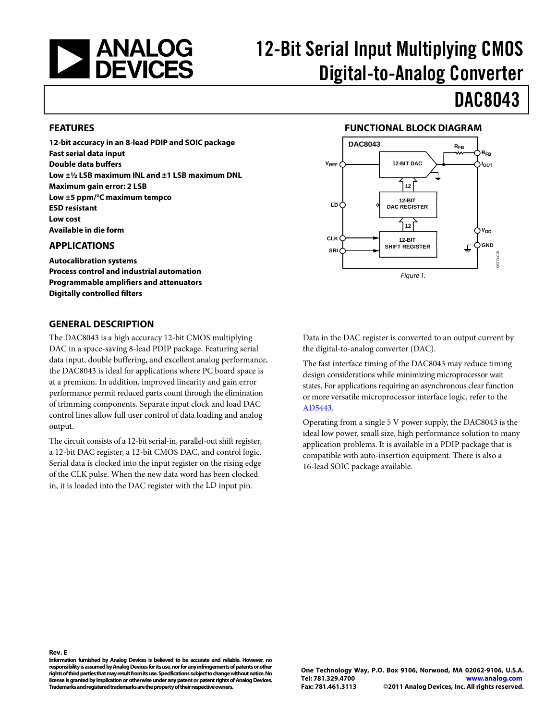

# 12-Bit Serial Input Multiplying CMOS Digital-to-Analog Converter

**FUNCTIONAL BLOCK DIAGRAM**

**12-BIT DAC**

<span id="page-0-2"></span>**VREF**

**LD**

**CLK**

**DAC8043 RFB** 

**12-BIT DAC REGISTER**

**12**

**12-BIT SHIFT REGISTER SRI GND**

*Figure 1.* 

**12**

# DAC8043

**V**<sub>DD</sub>

00271-001

CO<sub>1</sub> 70

**IOUT RFB**

### <span id="page-0-0"></span>**FEATURES**

**12-bit accuracy in an 8-lead PDIP and SOIC package Fast serial data input Double data buffers Low ±½ LSB maximum INL and ±1 LSB maximum DNL Maximum gain error: 2 LSB Low ±5 ppm/°C maximum tempco ESD resistant Low cost Available in die form**

### <span id="page-0-1"></span>**APPLICATIONS**

**Autocalibration systems Process control and industrial automation Programmable amplifiers and attenuators Digitally controlled filters**

### <span id="page-0-3"></span>**GENERAL DESCRIPTION**

The DAC8043 is a high accuracy 12-bit CMOS multiplying DAC in a space-saving 8-lead PDIP package. Featuring serial data input, double buffering, and excellent analog performance, the DAC8043 is ideal for applications where PC board space is at a premium. In addition, improved linearity and gain error performance permit reduced parts count through the elimination of trimming components. Separate input clock and load DAC control lines allow full user control of data loading and analog output.

The circuit consists of a 12-bit serial-in, parallel-out shift register, a 12-bit DAC register, a 12-bit CMOS DAC, and control logic. Serial data is clocked into the input register on the rising edge of the CLK pulse. When the new data word has been clocked in, it is loaded into the DAC register with the LD input pin.

Data in the DAC register is converted to an output current by the digital-to-analog converter (DAC).

The fast interface timing of the DAC8043 may reduce timing design considerations while minimizing microprocessor wait states. For applications requiring an asynchronous clear function or more versatile microprocessor interface logic, refer to the [AD5443.](http://www.analog.com/AD5443) 

Operating from a single 5 V power supply, the DAC8043 is the ideal low power, small size, high performance solution to many application problems. It is available in a PDIP package that is compatible with auto-insertion equipment. There is also a 16-lead SOIC package available.

**Rev. E** 

**Information furnished by Analog Devices is believed to be accurate and reliable. However, no responsibility is assumed by Analog Devices for its use, nor for any infringements of patents or other rights of third parties that may result from its use. Specifications subject to change without notice. No license is granted by implication or otherwise under any patent or patent rights of Analog Devices. Trademarks and registered trademarks are the property of their respective owners.**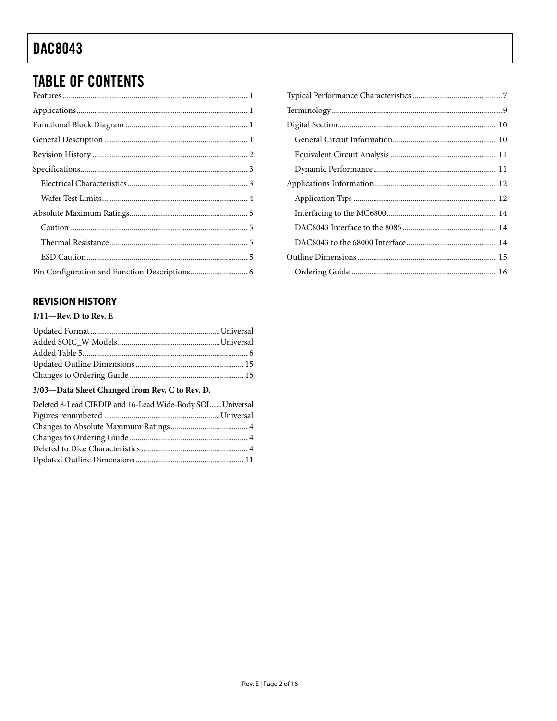# **TABLE OF CONTENTS**

## <span id="page-1-0"></span>**REVISION HISTORY**

### $1/11$ -Rev. D to Rev. E

## 3/03-Data Sheet Changed from Rev. C to Rev. D.

| Deleted 8-Lead CIRDIP and 16-Lead Wide-Body SOL Universal |  |
|-----------------------------------------------------------|--|
|                                                           |  |
|                                                           |  |
|                                                           |  |
|                                                           |  |
|                                                           |  |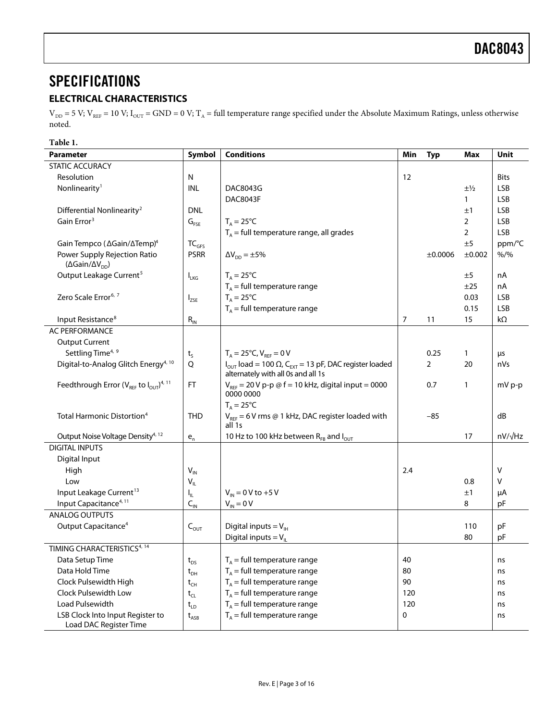# <span id="page-2-0"></span>**SPECIFICATIONS**

## <span id="page-2-1"></span>**ELECTRICAL CHARACTERISTICS**

 $V_{DD} = 5$  V;  $V_{REF} = 10$  V;  $I_{OUT} = GND = 0$  V;  $T_A = full$  temperature range specified under the [Absolute Maximum Ratings,](#page-4-0) unless otherwise noted.

**Table 1.** 

| 1 avit 1.<br><b>Parameter</b>                                               | Symbol                      | <b>Conditions</b>                                                                                                          | Min | <b>Typ</b>     | Max              | Unit           |
|-----------------------------------------------------------------------------|-----------------------------|----------------------------------------------------------------------------------------------------------------------------|-----|----------------|------------------|----------------|
| <b>STATIC ACCURACY</b>                                                      |                             |                                                                                                                            |     |                |                  |                |
| Resolution                                                                  | N                           |                                                                                                                            | 12  |                |                  | <b>Bits</b>    |
| Nonlinearity <sup>1</sup>                                                   | <b>INL</b>                  | DAC8043G                                                                                                                   |     |                | $\pm\frac{1}{2}$ | <b>LSB</b>     |
|                                                                             |                             | <b>DAC8043F</b>                                                                                                            |     |                | 1                | <b>LSB</b>     |
| Differential Nonlinearity <sup>2</sup>                                      | <b>DNL</b>                  |                                                                                                                            |     |                | ±1               | <b>LSB</b>     |
| Gain Error <sup>3</sup>                                                     | $G_{\text{FSE}}$            | $T_A = 25^{\circ}C$                                                                                                        |     |                | $\overline{2}$   | <b>LSB</b>     |
|                                                                             |                             | $T_A$ = full temperature range, all grades                                                                                 |     |                | $\overline{2}$   | <b>LSB</b>     |
| Gain Tempco (△Gain/∆Temp) <sup>4</sup>                                      | TC <sub>GFS</sub>           |                                                                                                                            |     |                | ±5               | ppm/°C         |
| Power Supply Rejection Ratio<br>( $\Delta$ Gain/ $\Delta$ V <sub>DD</sub> ) | <b>PSRR</b>                 | $\Delta V_{DD} = \pm 5\%$                                                                                                  |     | ±0.0006        | ±0.002           | $% /$ %        |
| Output Leakage Current <sup>5</sup>                                         | $I_{LKG}$                   | $T_A = 25^{\circ}C$                                                                                                        |     |                | ±5               | nA             |
|                                                                             |                             | $T_A$ = full temperature range                                                                                             |     |                | ±25              | nA             |
| Zero Scale Error <sup>6, 7</sup>                                            | $I_{ZSE}$                   | $T_A = 25^{\circ}C$                                                                                                        |     |                | 0.03             | <b>LSB</b>     |
|                                                                             |                             | $T_A$ = full temperature range                                                                                             |     |                | 0.15             | <b>LSB</b>     |
| Input Resistance <sup>8</sup>                                               | $R_{IN}$                    |                                                                                                                            | 7   | 11             | 15               | kΩ             |
| AC PERFORMANCE                                                              |                             |                                                                                                                            |     |                |                  |                |
| <b>Output Current</b>                                                       |                             |                                                                                                                            |     |                |                  |                |
| Settling Time <sup>4, 9</sup>                                               | $t_{\mathsf{S}}$            | $T_A = 25^{\circ}C, V_{BFE} = 0 V$                                                                                         |     | 0.25           | $\mathbf{1}$     | μs             |
| Digital-to-Analog Glitch Energy <sup>4, 10</sup>                            | Q                           | $I_{\text{OUT}}$ load = 100 $\Omega$ , C <sub>EXT</sub> = 13 pF, DAC register loaded<br>alternately with all 0s and all 1s |     | $\overline{2}$ | 20               | nVs            |
| Feedthrough Error ( $V_{REF}$ to $I_{OUT}$ ) <sup>4, 11</sup>               | <b>FT</b>                   | $V_{REF}$ = 20 V p-p @ f = 10 kHz, digital input = 0000<br>0000 0000                                                       |     | 0.7            | 1                | $mV p-p$       |
|                                                                             |                             | $T_A = 25^{\circ}C$                                                                                                        |     |                |                  |                |
| Total Harmonic Distortion <sup>4</sup>                                      | <b>THD</b>                  | $V_{REF}$ = 6 V rms @ 1 kHz, DAC register loaded with<br>all 1s                                                            |     | $-85$          |                  | dB             |
| Output Noise Voltage Density <sup>4, 12</sup>                               | $\mathsf{e}_{\mathsf{n}}$   | 10 Hz to 100 kHz between RFB and lout                                                                                      |     |                | 17               | $nV/\sqrt{Hz}$ |
| <b>DIGITAL INPUTS</b>                                                       |                             |                                                                                                                            |     |                |                  |                |
| Digital Input                                                               |                             |                                                                                                                            |     |                |                  |                |
| High                                                                        | $V_{\text{IN}}$             |                                                                                                                            | 2.4 |                |                  | V              |
| Low                                                                         | $V_{I L}$                   |                                                                                                                            |     |                | 0.8              | v              |
| Input Leakage Current <sup>13</sup>                                         | $I_{\rm IL}$                | $V_{IN} = 0 V$ to +5 V                                                                                                     |     |                | ±1               | μA             |
| Input Capacitance <sup>4, 11</sup>                                          | $C_{\text{IN}}$             | $V_{IN} = 0 V$                                                                                                             |     |                | 8                | pF             |
| <b>ANALOG OUTPUTS</b>                                                       |                             |                                                                                                                            |     |                |                  |                |
| Output Capacitance <sup>4</sup>                                             | $\mathsf{C}_{\mathsf{OUT}}$ | Digital inputs = $V_{\text{H}}$                                                                                            |     |                | 110              | pF             |
|                                                                             |                             | Digital inputs = $V_{IL}$                                                                                                  |     |                | 80               | pF             |
| TIMING CHARACTERISTICS <sup>4, 14</sup>                                     |                             |                                                                                                                            |     |                |                  |                |
| Data Setup Time                                                             | $t_{\text{DS}}$             | $T_A$ = full temperature range                                                                                             | 40  |                |                  | ns             |
| Data Hold Time                                                              | $t_{DH}$                    | $T_A$ = full temperature range                                                                                             | 80  |                |                  | ns             |
| Clock Pulsewidth High                                                       | $t_{CH}$                    | $T_A$ = full temperature range                                                                                             | 90  |                |                  | ns             |
| Clock Pulsewidth Low                                                        | $t_{CL}$                    | $T_A$ = full temperature range                                                                                             | 120 |                |                  | ns             |
| Load Pulsewidth                                                             | $t_{LD}$                    | $T_A$ = full temperature range                                                                                             | 120 |                |                  | ns             |
| LSB Clock Into Input Register to<br>Load DAC Register Time                  | $t_{ASB}$                   | $T_A$ = full temperature range                                                                                             | 0   |                |                  | ns             |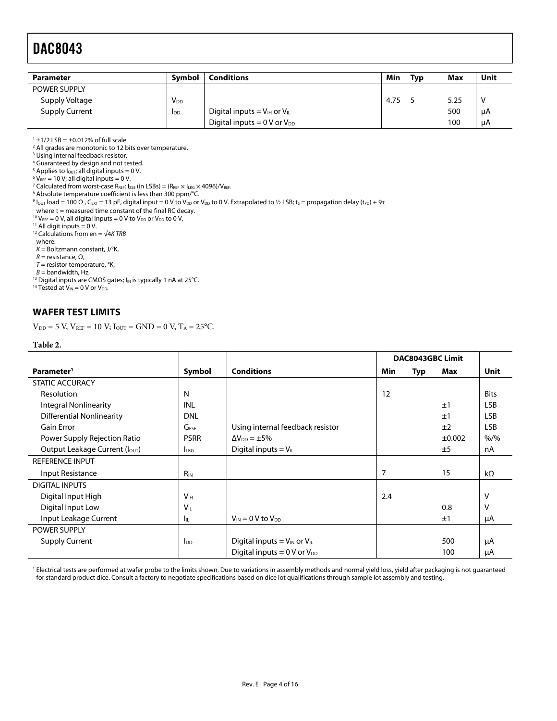| <b>Parameter</b>      | <b>Symbol</b>         | <b>Conditions</b>                                   | Min  | <b>Typ</b> | Max  | Unit |
|-----------------------|-----------------------|-----------------------------------------------------|------|------------|------|------|
| <b>POWER SUPPLY</b>   |                       |                                                     |      |            |      |      |
| Supply Voltage        | <b>V<sub>DD</sub></b> |                                                     | 4.75 |            | 5.25 | V    |
| <b>Supply Current</b> | I <sub>DD</sub>       | Digital inputs = $V_{\text{IH}}$ or $V_{\text{IL}}$ |      |            | 500  | μA   |
|                       |                       | Digital inputs = $0 \text{ V}$ or $V_{DD}$          |      |            | 100  | μA   |

<span id="page-3-1"></span> $1 \pm 1/2$  LSB =  $\pm 0.012$ % of full scale.

<span id="page-3-2"></span><sup>2</sup> All grades are monotonic to 12 bits over temperature.

<span id="page-3-3"></span><sup>3</sup> Using internal feedback resistor.

<span id="page-3-4"></span>4 Guaranteed by design and not tested.

<sup>5</sup> Applies to l<sub>out</sub>; all digital inputs = 0 V.<br><sup>6</sup> Vers = 10 V; all digital inputs = 0 V.

<span id="page-3-6"></span><span id="page-3-5"></span> $6$  V<sub>REF</sub> = 10 V; all digital inputs = 0 V.

<span id="page-3-7"></span><sup>7</sup> Calculated from worst-case R<sub>REF</sub>: I<sub>ZSE</sub> (in LSBs) = (R<sub>REF</sub> × I<sub>LKG</sub> × 4096)/V<sub>REF</sub>.

<span id="page-3-8"></span><sup>8</sup> Absolute temperature coefficient is less than 300 ppm/°C.

<span id="page-3-9"></span><sup>9</sup> lout load = 100 Ω, C<sub>EXT</sub> = 13 pF, digital input = 0 V to V<sub>DD</sub> or V<sub>DD</sub> to 0 V. Extrapolated to ½ LSB; t<sub>S</sub> = propagation delay (t<sub>PD</sub>) + 9τ

<span id="page-3-10"></span>where τ = measured time constant of the final RC decay.<br><sup>10</sup> V<sub>REF</sub> = 0 V, all digital inputs = 0 V to V<sub>DD</sub> or V<sub>DD</sub> to 0 V.<br><sup>11</sup> All digit inputs = 0 V.

<span id="page-3-12"></span><span id="page-3-11"></span><sup>12</sup> Calculations from en =  $\sqrt{4KTRB}$ 

where:

 $K =$  Boltzmann constant, J/°K,

 $R$  = resistance,  $\Omega$ ,

 $T =$  resistor temperature, °K,<br>B = bandwidth, Hz.

<span id="page-3-14"></span><span id="page-3-13"></span><sup>13</sup> Digital inputs are CMOS gates;  $I_{IN}$  is typically 1 nA at 25°C. <sup>14</sup> Tested at V<sub>IN</sub> = 0 V or V<sub>DD</sub>.

### <span id="page-3-0"></span>**WAFER TEST LIMITS**

 $V_{DD} = 5$  V,  $V_{REF} = 10$  V;  $I_{OUT} = GND = 0$  V,  $T_A = 25$ °C.

#### **Table 2.**

|                               |                       |                                       |     | <b>DAC8043GBC Limit</b> |             |             |
|-------------------------------|-----------------------|---------------------------------------|-----|-------------------------|-------------|-------------|
| Parameter <sup>1</sup>        | Symbol                | <b>Conditions</b>                     | Min | Typ                     | Max         | Unit        |
| <b>STATIC ACCURACY</b>        |                       |                                       |     |                         |             |             |
| Resolution                    | N                     |                                       | 12  |                         |             | <b>Bits</b> |
| <b>Integral Nonlinearity</b>  | INL                   |                                       |     |                         | ±1          | <b>LSB</b>  |
| Differential Nonlinearity     | <b>DNL</b>            |                                       |     |                         | ±1          | <b>LSB</b>  |
| <b>Gain Error</b>             | G <sub>FSF</sub>      | Using internal feedback resistor      |     |                         | ±2          | <b>LSB</b>  |
| Power Supply Rejection Ratio  | <b>PSRR</b>           | $\Delta V_{DD} = \pm 5\%$             |     |                         | $\pm 0.002$ | $% /$ %     |
| Output Leakage Current (Ιουτ) | <b>LKG</b>            | Digital inputs = $V_{IL}$             |     |                         | ±5          | nA          |
| <b>REFERENCE INPUT</b>        |                       |                                       |     |                         |             |             |
| Input Resistance              | $R_{IN}$              |                                       | 7   |                         | 15          | $k\Omega$   |
| <b>DIGITAL INPUTS</b>         |                       |                                       |     |                         |             |             |
| Digital Input High            | <b>V<sub>IH</sub></b> |                                       | 2.4 |                         |             | v           |
| Digital Input Low             | $V_{\parallel}$       |                                       |     |                         | 0.8         | V           |
| Input Leakage Current         | Iц.                   | $V_{IN} = 0 V to V_{DD}$              |     |                         | ±1          | μA          |
| <b>POWER SUPPLY</b>           |                       |                                       |     |                         |             |             |
| <b>Supply Current</b>         | $I_{DD}$              | Digital inputs = $V_{IN}$ or $V_{IL}$ |     |                         | 500         | μA          |
|                               |                       | Digital inputs $= 0 V$ or $V_{DD}$    |     |                         | 100         | μA          |

<span id="page-3-15"></span>1 Electrical tests are performed at wafer probe to the limits shown. Due to variations in assembly methods and normal yield loss, yield after packaging is not guaranteed for standard product dice. Consult a factory to negotiate specifications based on dice lot qualifications through sample lot assembly and testing.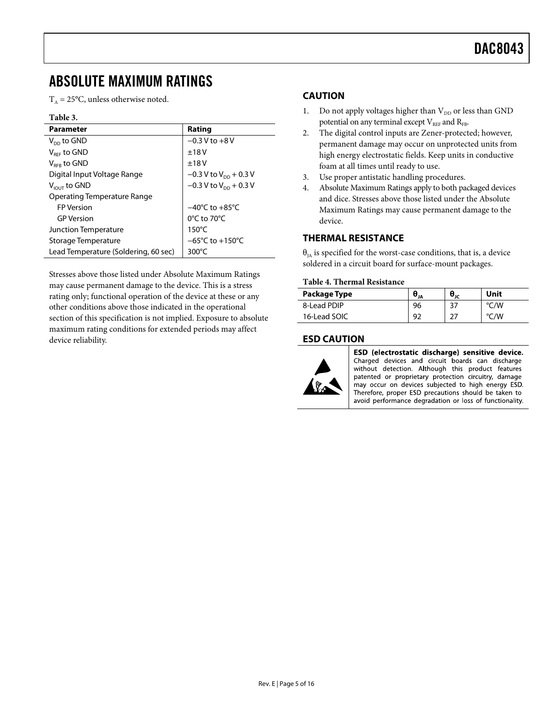# <span id="page-4-0"></span>ABSOLUTE MAXIMUM RATINGS

 $T_A = 25$ °C, unless otherwise noted.

### **Table 3.**

| <b>Parameter</b>                     | Rating                              |
|--------------------------------------|-------------------------------------|
| $V_{DD}$ to GND                      | $-0.3$ V to $+8$ V                  |
| $V_{\text{ref}}$ to GND              | ±18V                                |
| $V_{RFR}$ to GND                     | ±18V                                |
| Digital Input Voltage Range          | $-0.3$ V to V <sub>DD</sub> + 0.3 V |
| $V_{I\text{OUT}}$ to GND             | $-0.3$ V to V <sub>DD</sub> + 0.3 V |
| Operating Temperature Range          |                                     |
| <b>FP Version</b>                    | $-40^{\circ}$ C to $+85^{\circ}$ C  |
| <b>GP</b> Version                    | $0^{\circ}$ C to 70 $^{\circ}$ C    |
| Junction Temperature                 | $150^{\circ}$ C                     |
| Storage Temperature                  | $-65^{\circ}$ C to $+150^{\circ}$ C |
| Lead Temperature (Soldering, 60 sec) | $300^{\circ}$ C                     |

Stresses above those listed under Absolute Maximum Ratings may cause permanent damage to the device. This is a stress rating only; functional operation of the device at these or any other conditions above those indicated in the operational section of this specification is not implied. Exposure to absolute maximum rating conditions for extended periods may affect device reliability.

### <span id="page-4-1"></span>**CAUTION**

- 1. Do not apply voltages higher than  $V_{DD}$  or less than GND potential on any terminal except  $V_{RFE}$  and  $R_{FB}$ .
- 2. The digital control inputs are Zener-protected; however, permanent damage may occur on unprotected units from high energy electrostatic fields. Keep units in conductive foam at all times until ready to use.
- 3. Use proper antistatic handling procedures.
- 4. Absolute Maximum Ratings apply to both packaged devices and dice. Stresses above those listed under the Absolute Maximum Ratings may cause permanent damage to the device.

## <span id="page-4-2"></span>**THERMAL RESISTANCE**

 $\theta_{IA}$  is specified for the worst-case conditions, that is, a device soldered in a circuit board for surface-mount packages.

#### **Table 4. Thermal Resistance**

| Package Type | $\Theta_{JA}$ | $\bm{\theta}_{\text{ir}}$ | Unit          |
|--------------|---------------|---------------------------|---------------|
| 8-Lead PDIP  | 96            | 37                        | $\degree$ C/W |
| 16-Lead SOIC | 92            |                           | °C/W          |

### <span id="page-4-3"></span>**ESD CAUTION**



ESD (electrostatic discharge) sensitive device. Charged devices and circuit boards can discharge without detection. Although this product features patented or proprietary protection circuitry, damage may occur on devices subjected to high energy ESD. Therefore, proper ESD precautions should be taken to avoid performance degradation or loss of functionality.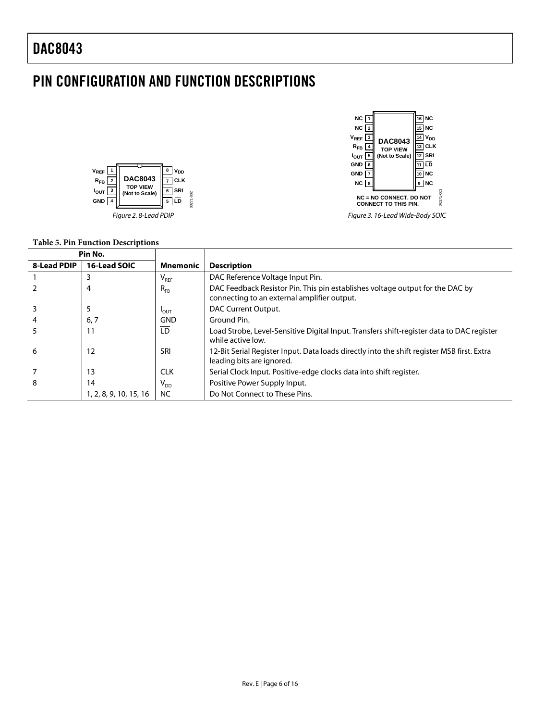# <span id="page-5-0"></span>PIN CONFIGURATION AND FUNCTION DESCRIPTIONS





*Figure 3. 16-Lead Wide-Body SOIC*

## **Table 5. Pin Function Descriptions**

|             | Pin No.                |                            |                                                                                                                              |
|-------------|------------------------|----------------------------|------------------------------------------------------------------------------------------------------------------------------|
| 8-Lead PDIP | 16-Lead SOIC           | <b>Mnemonic</b>            | <b>Description</b>                                                                                                           |
|             | 3                      | $V_{\text{REF}}$           | DAC Reference Voltage Input Pin.                                                                                             |
|             | 4                      | $R_{FB}$                   | DAC Feedback Resistor Pin. This pin establishes voltage output for the DAC by<br>connecting to an external amplifier output. |
|             | 5                      | $I_{\text{OUT}}$           | DAC Current Output.                                                                                                          |
|             | 6, 7                   | <b>GND</b>                 | Ground Pin.                                                                                                                  |
|             |                        | LD                         | Load Strobe, Level-Sensitive Digital Input. Transfers shift-register data to DAC register<br>while active low.               |
| 6           | 12                     | SRI                        | 12-Bit Serial Register Input. Data loads directly into the shift register MSB first. Extra<br>leading bits are ignored.      |
|             | 13                     | <b>CLK</b>                 | Serial Clock Input. Positive-edge clocks data into shift register.                                                           |
| 8           | 14                     | $\mathsf{V}_{\mathsf{DD}}$ | Positive Power Supply Input.                                                                                                 |
|             | 1, 2, 8, 9, 10, 15, 16 | NC.                        | Do Not Connect to These Pins.                                                                                                |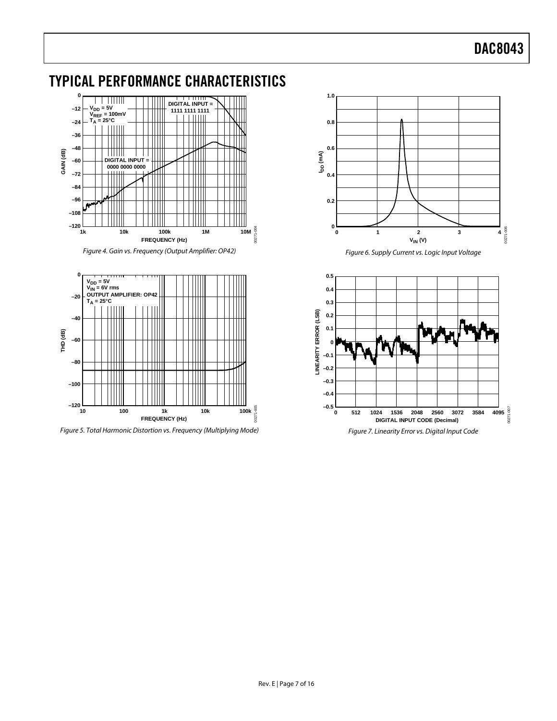# <span id="page-6-0"></span>TYPICAL PERFORMANCE CHARACTERISTICS



*Figure 4. Gain vs. Frequency (Output Amplifier: OP42)*



*Figure 5. Total Harmonic Distortion vs. Frequency (Multiplying Mode)*



*Figure 6. Supply Current vs. Logic Input Voltage*

<span id="page-6-1"></span>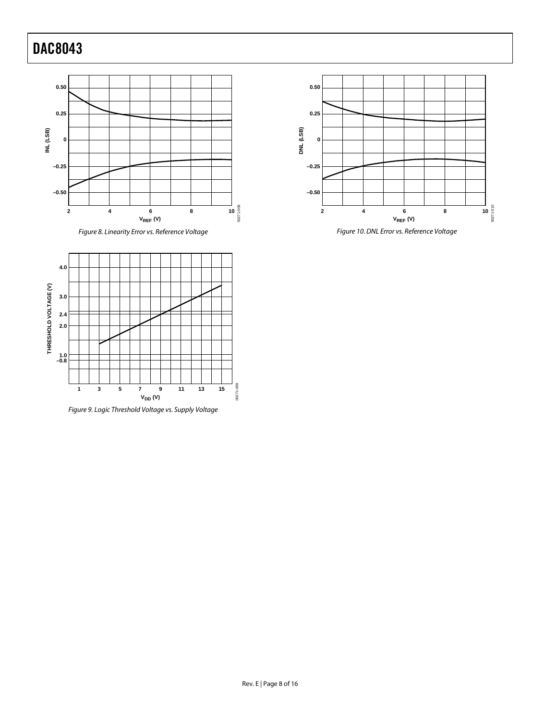





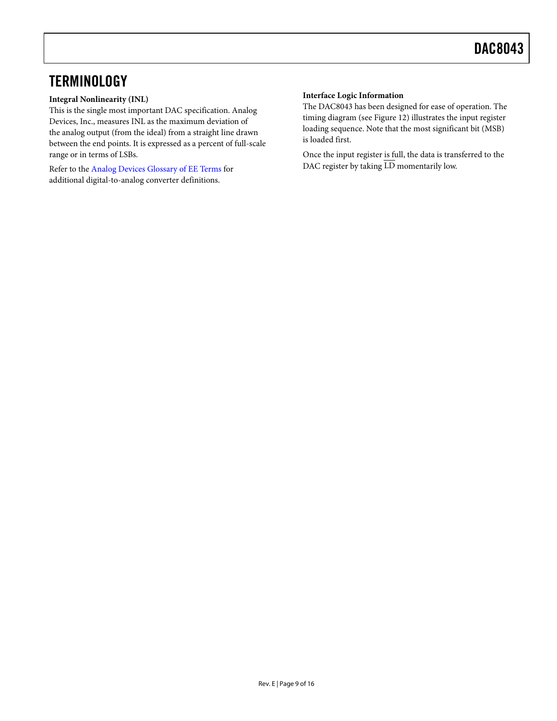# <span id="page-8-0"></span>**TERMINOLOGY**

### **Integral Nonlinearity (INL)**

This is the single most important DAC specification. Analog Devices, Inc., measures INL as the maximum deviation of the analog output (from the ideal) from a straight line drawn between the end points. It is expressed as a percent of full-scale range or in terms of LSBs.

Refer to th[e Analog Devices Glossary of EE Terms](http://www.analog.com/glossary) for additional digital-to-analog converter definitions.

### **Interface Logic Information**

The DAC8043 has been designed for ease of operation. The timing diagram (se[e Figure 12\)](#page-9-2) illustrates the input register loading sequence. Note that the most significant bit (MSB) is loaded first.

Once the input register is full, the data is transferred to the DAC register by taking  $\overline{\text{LD}}$  momentarily low.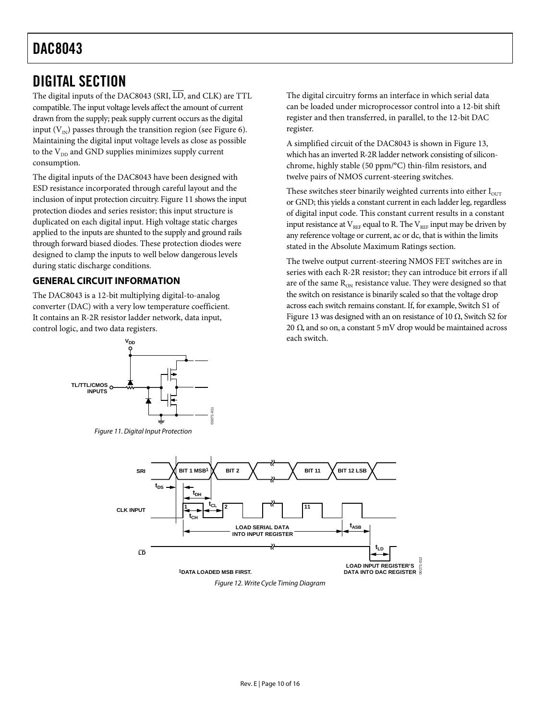## <span id="page-9-0"></span>DIGITAL SECTION

The digital inputs of the DAC8043 (SRI,  $\overline{LD}$ , and CLK) are TTL compatible. The input voltage levels affect the amount of current drawn from the supply; peak supply current occurs as the digital input ( $V_{N}$ ) passes through the transition region (se[e Figure 6\)](#page-6-1). Maintaining the digital input voltage levels as close as possible to the  $V_{DD}$  and GND supplies minimizes supply current consumption.

The digital inputs of the DAC8043 have been designed with ESD resistance incorporated through careful layout and the inclusion of input protection circuitry. [Figure 11](#page-9-3) shows the input protection diodes and series resistor; this input structure is duplicated on each digital input. High voltage static charges applied to the inputs are shunted to the supply and ground rails through forward biased diodes. These protection diodes were designed to clamp the inputs to well below dangerous levels during static discharge conditions.

## <span id="page-9-1"></span>**GENERAL CIRCUIT INFORMATION**

The DAC8043 is a 12-bit multiplying digital-to-analog converter (DAC) with a very low temperature coefficient. It contains an R-2R resistor ladder network, data input, control logic, and two data registers.



<span id="page-9-3"></span>*Figure 11. Digital Input Protection*

The digital circuitry forms an interface in which serial data can be loaded under microprocessor control into a 12-bit shift register and then transferred, in parallel, to the 12-bit DAC register.

A simplified circuit of the DAC8043 is shown in [Figure 13,](#page-10-2)  which has an inverted R-2R ladder network consisting of siliconchrome, highly stable (50 ppm/°C) thin-film resistors, and twelve pairs of NMOS current-steering switches.

These switches steer binarily weighted currents into either  $I<sub>OUT</sub>$ or GND; this yields a constant current in each ladder leg, regardless of digital input code. This constant current results in a constant input resistance at  $V_{REF}$  equal to R. The  $V_{REF}$  input may be driven by any reference voltage or current, ac or dc, that is within the limits stated in th[e Absolute Maximum Ratings](#page-4-0) section.

The twelve output current-steering NMOS FET switches are in series with each R-2R resistor; they can introduce bit errors if all are of the same  $R_{ON}$  resistance value. They were designed so that the switch on resistance is binarily scaled so that the voltage drop across each switch remains constant. If, for example, Switch S1 of [Figure 13 w](#page-10-2)as designed with an on resistance of 10 Ω, Switch S2 for 20  $Ω$ , and so on, a constant  $5$  mV drop would be maintained across each switch.

<span id="page-9-2"></span>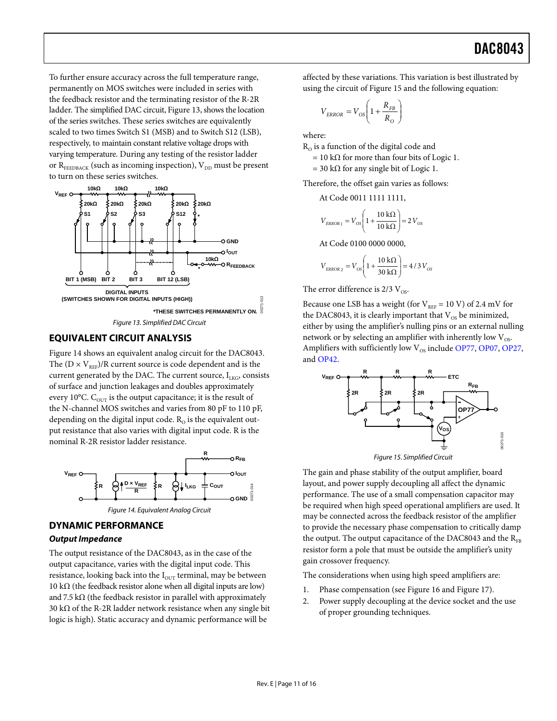To further ensure accuracy across the full temperature range, permanently on MOS switches were included in series with the feedback resistor and the terminating resistor of the R-2R ladder. The simplified DAC circuit[, Figure 13,](#page-10-2) shows the location of the series switches. These series switches are equivalently scaled to two times Switch S1 (MSB) and to Switch S12 (LSB), respectively, to maintain constant relative voltage drops with varying temperature. During any testing of the resistor ladder or  $R_{FEEDBACK}$  (such as incoming inspection),  $V_{DD}$  must be present to turn on these series switches.



## <span id="page-10-2"></span><span id="page-10-0"></span>**EQUIVALENT CIRCUIT ANALYSIS**

[Figure 14](#page-10-3) shows an equivalent analog circuit for the DAC8043. The  $(D \times V_{REF})/R$  current source is code dependent and is the current generated by the DAC. The current source,  $I_{LKG}$ , consists of surface and junction leakages and doubles approximately every 10°C.  $C_{\text{OUT}}$  is the output capacitance; it is the result of the N-channel MOS switches and varies from 80 pF to 110 pF, depending on the digital input code.  $R_0$  is the equivalent output resistance that also varies with digital input code. R is the nominal R-2R resistor ladder resistance.



### <span id="page-10-3"></span><span id="page-10-1"></span>**DYNAMIC PERFORMANCE**

### *Output Impedance*

The output resistance of the DAC8043, as in the case of the output capacitance, varies with the digital input code. This resistance, looking back into the  $I_{\text{OUT}}$  terminal, may be between 10 kΩ (the feedback resistor alone when all digital inputs are low) and  $7.5 \text{ k}\Omega$  (the feedback resistor in parallel with approximately 30 kΩ of the R-2R ladder network resistance when any single bit logic is high). Static accuracy and dynamic performance will be

affected by these variations. This variation is best illustrated by using the circuit of [Figure 15](#page-10-4) and the following equation:

$$
V_{ERROR} = V_{OS} \left( 1 + \frac{R_{FB}}{R_{O}} \right)
$$

where:

 $R<sub>o</sub>$  is a function of the digital code and

 $= 10 \text{ k}\Omega$  for more than four bits of Logic 1.

= 30 k $\Omega$  for any single bit of Logic 1.

Therefore, the offset gain varies as follows:

At Code 0011 1111 1111,

$$
V_{ERROR1} = V_{OS} \left( 1 + \frac{10 \text{ k}\Omega}{10 \text{ k}\Omega} \right) = 2 V_{OS}
$$

At Code 0100 0000 0000,

$$
V_{ERROR2} = V_{OS} \left( 1 + \frac{10 \text{ k}\Omega}{30 \text{ k}\Omega} \right) = 4/3 V_{OS}
$$

The error difference is  $2/3$  V<sub>os</sub>.

Because one LSB has a weight (for  $V_{REF} = 10 V$ ) of 2.4 mV for the DAC8043, it is clearly important that  $V_{OS}$  be minimized, either by using the amplifier's nulling pins or an external nulling network or by selecting an amplifier with inherently low  $V_{OS}$ . Amplifiers with sufficiently low  $V_{OS}$  includ[e OP77,](http://www.analog.com/OP77) [OP07,](http://www.analog.com/OP07) OP27, an[d OP42.](http://www.analog.com/OP42)



*Figure 15. Simplified Circuit*

<span id="page-10-4"></span>The gain and phase stability of the output amplifier, board layout, and power supply decoupling all affect the dynamic performance. The use of a small compensation capacitor may be required when high speed operational amplifiers are used. It may be connected across the feedback resistor of the amplifier to provide the necessary phase compensation to critically damp the output. The output capacitance of the DAC8043 and the  $R_{FB}$ resistor form a pole that must be outside the amplifier's unity gain crossover frequency.

The considerations when using high speed amplifiers are:

- 1. Phase compensation (see [Figure 16](#page-11-2) an[d Figure](#page-11-3) 17).
- 2. Power supply decoupling at the device socket and the use of proper grounding techniques.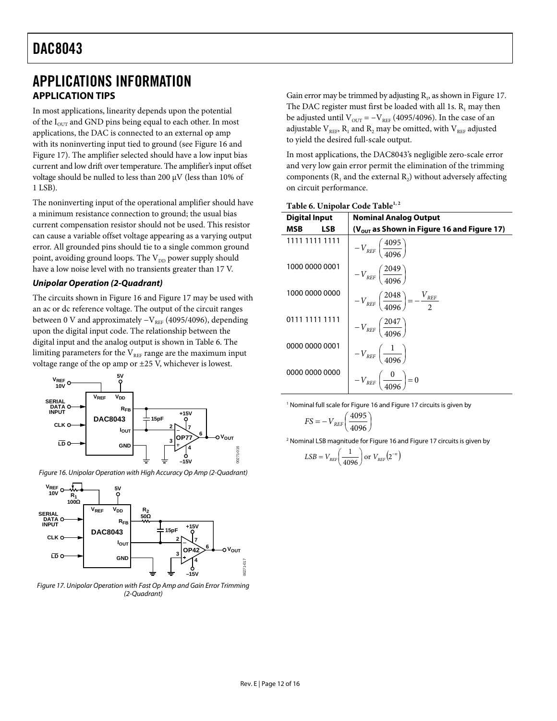## <span id="page-11-0"></span>APPLICATIONS INFORMATION **APPLICATION TIPS**

<span id="page-11-1"></span>In most applications, linearity depends upon the potential of the  $I<sub>OUT</sub>$  and GND pins being equal to each other. In most applications, the DAC is connected to an external op amp with its noninverting input tied to ground (see [Figure 16](#page-11-2) and [Figure](#page-11-3) 17). The amplifier selected should have a low input bias current and low drift over temperature. The amplifier's input offset voltage should be nulled to less than 200 μV (less than 10% of 1 LSB).

The noninverting input of the operational amplifier should have a minimum resistance connection to ground; the usual bias current compensation resistor should not be used. This resistor can cause a variable offset voltage appearing as a varying output error. All grounded pins should tie to a single common ground point, avoiding ground loops. The V<sub>DD</sub> power supply should have a low noise level with no transients greater than 17 V.

### *Unipolar Operation (2-Quadrant)*

The circuits shown in [Figure 16](#page-11-2) an[d Figure](#page-11-3) 17 may be used with an ac or dc reference voltage. The output of the circuit ranges between 0 V and approximately  $-V_{REF}$  (4095/4096), depending upon the digital input code. The relationship between the digital input and the analog output is shown in [Table 6.](#page-11-4) The limiting parameters for the  $V_{REF}$  range are the maximum input voltage range of the op amp or ±25 V, whichever is lowest.



<span id="page-11-2"></span>*Figure 16. Unipolar Operation with High Accuracy Op Amp (2-Quadrant)* 



<span id="page-11-3"></span>*Figure 17. Unipolar Operation with Fast Op Amp and Gain Error Trimming (2-Quadrant)* 

Gain error may be trimmed by adjusting  $R_1$ , as shown i[n Figure](#page-11-3) 17. The DAC register must first be loaded with all 1s.  $R_1$  may then be adjusted until  $V_{OUT} = -V_{REF}$  (4095/4096). In the case of an adjustable  $V_{REF}$ ,  $R_1$  and  $R_2$  may be omitted, with  $V_{REF}$  adjusted to yield the desired full-scale output.

In most applications, the DAC8043's negligible zero-scale error and very low gain error permit the elimination of the trimming components  $(R_1$  and the external  $R_2$ ) without adversely affecting on circuit performance.

<span id="page-11-4"></span>

|  | Table 6. Unipolar Code Table <sup>1, 2</sup> |  |  |
|--|----------------------------------------------|--|--|
|--|----------------------------------------------|--|--|

| <b>Digital Input</b> | <b>Nominal Analog Output</b>                                  |
|----------------------|---------------------------------------------------------------|
| LSB<br>MSB           | $(V_{\rm out}$ as Shown in Figure 16 and Figure 17)           |
| 1111 1111 1111       | $-V_{REF}\left(\frac{4095}{4006}\right)$                      |
| 1000 0000 0001       | $-V_{REF}\left(\frac{2049}{4096}\right)$                      |
| 1000 0000 0000       | $-V_{REF}\left(\frac{2048}{4096}\right) = -\frac{V_{REF}}{2}$ |
| 0111 1111 1111       | $-V_{\textit{REF}}\left(\frac{2047}{4006}\right)$             |
| 0000 0000 0001       | $-V_{REF}\left(\frac{1}{4096}\right)$                         |
| 0000 0000 0000       | $-V_{REF}\left(\frac{0}{4096}\right)=0$                       |

<sup>1</sup> Nominal full scale fo[r Figure 16](#page-11-2) an[d Figure](#page-11-3) 17 circuits is given by

$$
FS = -V_{REF} \left(\frac{4095}{4096}\right)
$$

<sup>2</sup> Nominal LSB magnitude fo[r Figure 16](#page-11-2) an[d Figure](#page-11-3) 17 circuits is given by

$$
LSB = V_{REF}\left(\frac{1}{4096}\right) \text{ or } V_{REF}\left(2^{-n}\right)
$$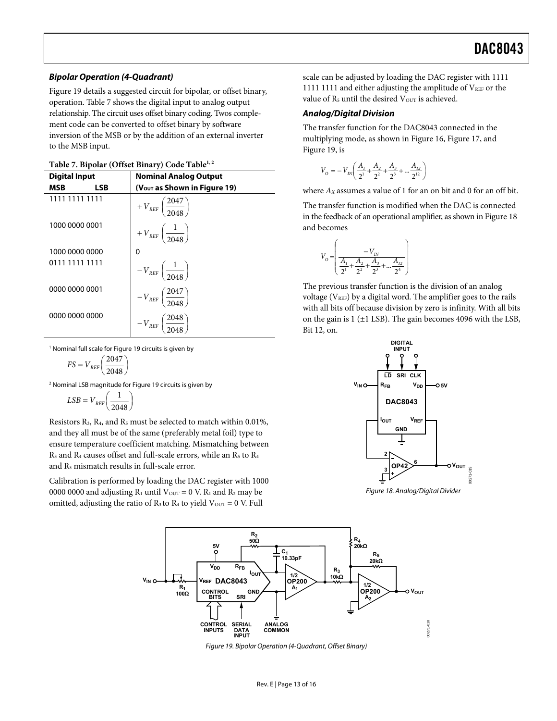#### **Bipolar Operation (4-Quadrant)**

[Figure 19 d](#page-12-0)etails a suggested circuit for bipolar, or offset binary, operation. [Table 7](#page-12-1) shows the digital input to analog output relationship. The circuit uses offset binary coding. Twos complement code can be converted to offset binary by software inversion of the MSB or by the addition of an external inverter to the MSB input.

#### <span id="page-12-1"></span>Table 7. Bipolar (Offset Binary) Code Table<sup>1, 2</sup>

| <b>Digital Input</b> | <b>Nominal Analog Output</b>                    |  |
|----------------------|-------------------------------------------------|--|
| LSB<br>MSB           | $(VOUT as Shown in Figure 19)$                  |  |
| 1111 1111 1111       | $+V_{REF}\left(\frac{2047}{2048}\right)$        |  |
| 1000 0000 0001       | $+V_{REF}\left(\frac{1}{2048}\right)$           |  |
| 1000 0000 0000       | 0                                               |  |
| 0111 1111 1111       | $-V_{REF}\left( \frac{1}{2048}\right)$          |  |
| 0000 0000 0001       | $-V_{\it REF} \left( \frac{2047}{2048} \right)$ |  |
| 0000 0000 0000       | $-V_{REF}\left(\frac{2048}{2048}\right)$        |  |

1 Nominal full scale fo[r Figure 19 c](#page-12-0)ircuits is given by

$$
FS = V_{REF} \left(\frac{2047}{2048}\right)
$$

2 Nominal LSB magnitude fo[r Figure 19 c](#page-12-0)ircuits is given by

$$
LSB = V_{REF} \left(\frac{1}{2048}\right)
$$

Resistors  $R_3$ ,  $R_4$ , and  $R_5$  must be selected to match within 0.01%, and they all must be of the same (preferably metal foil) type to ensure temperature coefficient matching. Mismatching between  $R_3$  and  $R_4$  causes offset and full-scale errors, while an  $R_5$  to  $R_4$ and R3 mismatch results in full-scale error.

Calibration is performed by loading the DAC register with 1000 0000 0000 and adjusting  $R_1$  until  $V_{\text{OUT}} = 0$  V.  $R_1$  and  $R_2$  may be omitted, adjusting the ratio of  $R_3$  to  $R_4$  to yield  $V_{\text{OUT}} = 0$  V. Full

scale can be adjusted by loading the DAC register with 1111 1111 1111 and either adjusting the amplitude of  $V_{REF}$  or the value of  $R_5$  until the desired  $V_{\text{OUT}}$  is achieved.

#### **Analog/Digital Division**

The transfer function for the DAC8043 connected in the multiplying mode, as shown in [Figure 16,](#page-11-2) [Figure 17,](#page-11-3) and [Figure 19,](#page-12-0) is

$$
V_{\rm O}=-\,V_{\rm IN}\!\!\left(\frac{A_{\rm I}}{2^1}\!+\!\frac{A_{\rm 2}}{2^2}\!+\!\frac{A_{\rm 3}}{2^3}\!+\!\ldots\!\frac{A_{\rm I2}}{2^{\rm I2}}\right)
$$

where  $A_X$  assumes a value of 1 for an on bit and 0 for an off bit.

The transfer function is modified when the DAC is connected in the feedback of an operational amplifier, as shown i[n Figure 18](#page-12-2)  and becomes

$$
V_{\scriptscriptstyle O}=\left(\begin{array}{c}-V_{\scriptscriptstyle IN} \\ \hline \frac{A_{\scriptscriptstyle I}}{2^{1}} + \frac{A_{\scriptscriptstyle 2}}{2^{2}} + \frac{A_{\scriptscriptstyle 3}}{2^{3}} + ... \frac{A_{\scriptscriptstyle I2}}{2^{4}}\end{array}\right)
$$

The previous transfer function is the division of an analog voltage ( $V_{REF}$ ) by a digital word. The amplifier goes to the rails with all bits off because division by zero is infinity. With all bits on the gain is 1 (±1 LSB). The gain becomes 4096 with the LSB, Bit 12, on.



<span id="page-12-2"></span>Figure 18. Analog/Digital Divider

<span id="page-12-0"></span>

Figure 19. Bipolar Operation (4-Quadrant, Offset Binary)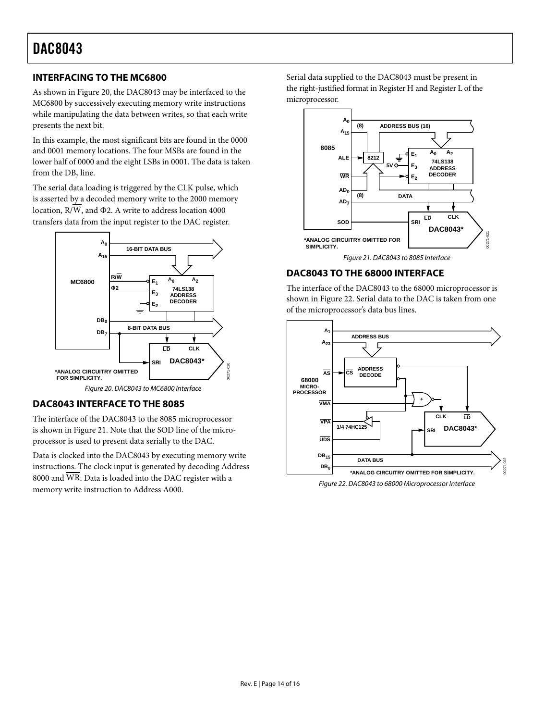## <span id="page-13-0"></span>**INTERFACING TO THE MC6800**

As shown in [Figure 20,](#page-13-3) the DAC8043 may be interfaced to the MC6800 by successively executing memory write instructions while manipulating the data between writes, so that each write presents the next bit.

In this example, the most significant bits are found in the 0000 and 0001 memory locations. The four MSBs are found in the lower half of 0000 and the eight LSBs in 0001. The data is taken from the DB<sub>7</sub> line.

The serial data loading is triggered by the CLK pulse, which is asserted by a decoded memory write to the 2000 memory location,  $R/\overline{W}$ , and  $\Phi$ 2. A write to address location 4000 transfers data from the input register to the DAC register.



## <span id="page-13-3"></span><span id="page-13-1"></span>**DAC8043 INTERFACE TO THE 8085**

The interface of the DAC8043 to the 8085 microprocessor is shown in [Figure 21.](#page-13-4) Note that the SOD line of the microprocessor is used to present data serially to the DAC.

Data is clocked into the DAC8043 by executing memory write instructions. The clock input is generated by decoding Address 8000 and WR. Data is loaded into the DAC register with a memory write instruction to Address A000.

Serial data supplied to the DAC8043 must be present in the right-justified format in Register H and Register L of the microprocessor.



## <span id="page-13-4"></span><span id="page-13-2"></span>**DAC8043 TO THE 68000 INTERFACE**

The interface of the DAC8043 to the 68000 microprocessor is shown in [Figure 22.](#page-13-5) Serial data to the DAC is taken from one of the microprocessor's data bus lines.

<span id="page-13-5"></span>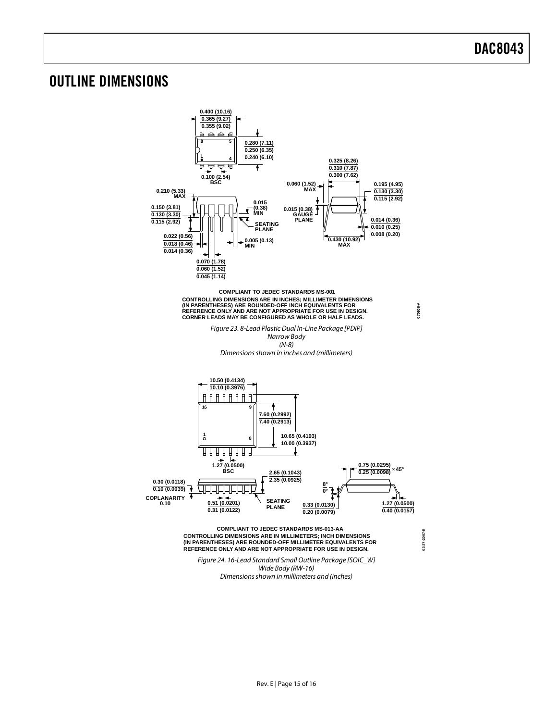## <span id="page-14-0"></span>OUTLINE DIMENSIONS